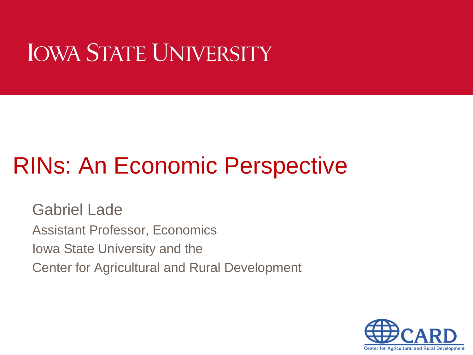# **IOWA STATE UNIVERSITY**

# RINs: An Economic Perspective

Gabriel Lade Assistant Professor, Economics Iowa State University and the Center for Agricultural and Rural Development

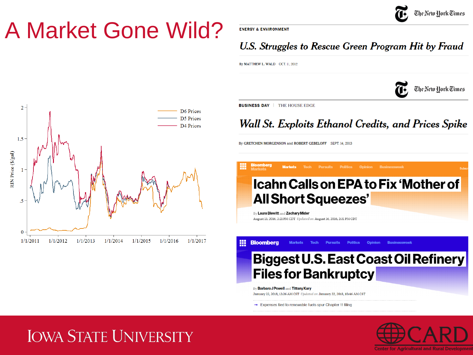

### A Market Gone Wild?

**ENERGY & ENVIRONMENT** 

#### U.S. Struggles to Rescue Green Program Hit by Fraud

By MATTHEW L. WALD OCT. 11, 2012

The New York Times



**BUSINESS DAY | THE HOUSE EDGE** 

噩

**Bloomberg** 

Wall St. Exploits Ethanol Credits, and Prices Spike

By GRETCHEN MORGENSON and ROBERT GEBELOFF SEPT. 14, 2013



**Biggest U.S. East Coast Oil Refinery Files for Bankruptcy** 

**Politics** 

**Oninion** 

By Barbara J Powell and Tiffany Kary January 22, 2018, 12:26 AM CST Updated on January 22, 2018, 10:46 AM CST

**Markets** 

**Tech** 

**Pursuits** 

→ Expenses tied to renewable fuels spur Chapter 11 filing

#### **IOWA STATE UNIVERSITY**



**Rusingssweek**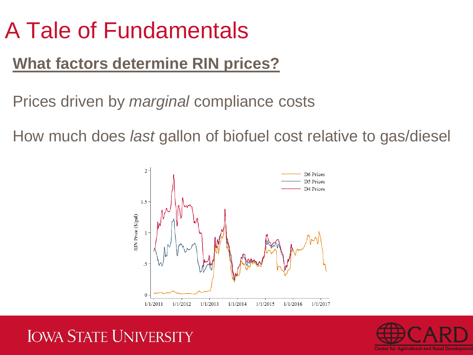### **What factors determine RIN prices?**

Prices driven by *marginal* compliance costs

How much does *last* gallon of biofuel cost relative to gas/diesel





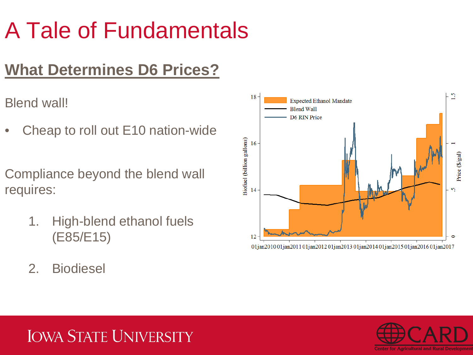### **What Determines D6 Prices?**

Blend wall!

• Cheap to roll out E10 nation-wide

Compliance beyond the blend wall requires:

- 1. High-blend ethanol fuels (E85/E15)
- 2. Biodiesel



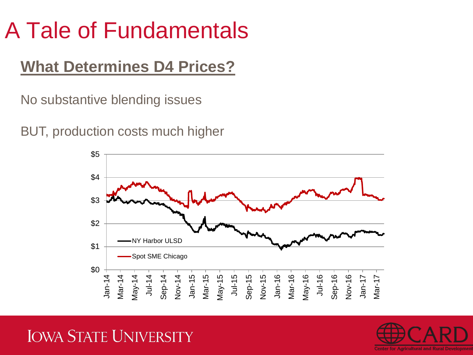### **What Determines D4 Prices?**

No substantive blending issues

BUT, production costs much higher



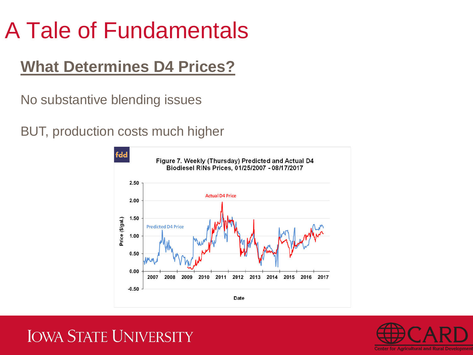### **What Determines D4 Prices?**

No substantive blending issues

BUT, production costs much higher



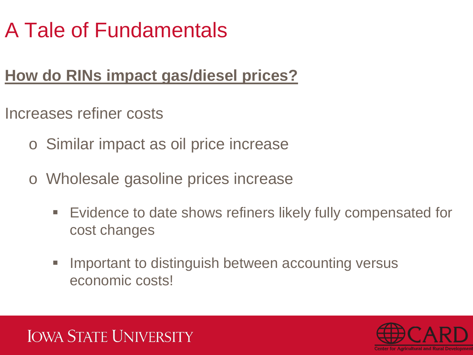### **How do RINs impact gas/diesel prices?**

Increases refiner costs

- o Similar impact as oil price increase
- o Wholesale gasoline prices increase
	- Evidence to date shows refiners likely fully compensated for cost changes
	- **IMPORTER 19 IMPORTER 19 IMPORTER 19 IMPORTER 19 IMPORTER 19 IMPORTER 19 IMPORTER 19 IMPORTER 19 IMPORTER 19 IMPORTER 19 IMPORTER 19 IMPORTER 19 IMPORTER 19 IMPORTER 19 IMPORTER 19 IMPORTER 19 IMPORTER 19 IMPORTER 19 IMPOR** economic costs!



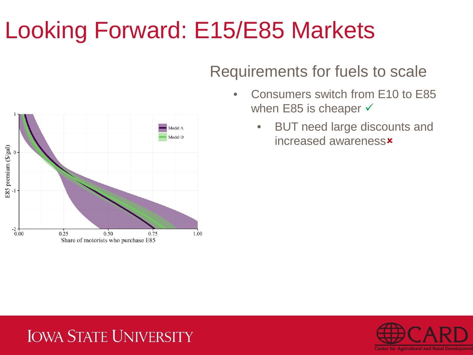### Requirements for fuels to scale

- Consumers switch from E10 to E85 when E85 is cheaper  $\checkmark$ 
	- BUT need large discounts and increased awareness



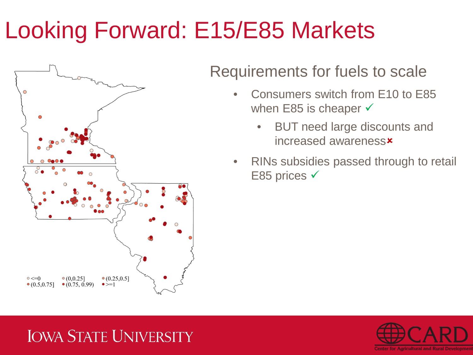

#### Requirements for fuels to scale

- Consumers switch from E10 to E85 when E85 is cheaper  $\checkmark$ 
	- BUT need large discounts and increased awareness
- RINs subsidies passed through to retail E85 prices √

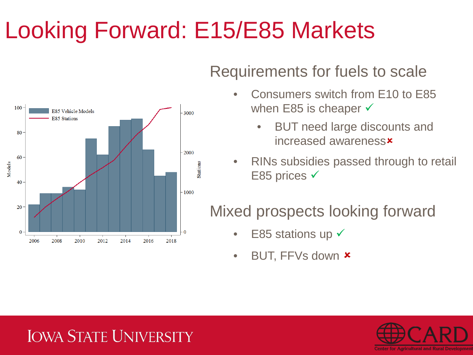

#### Requirements for fuels to scale

- Consumers switch from E10 to E85 when E85 is cheaper  $\checkmark$ 
	- BUT need large discounts and increased awareness
- RINs subsidies passed through to retail E85 prices √

### Mixed prospects looking forward

- E85 stations up  $\checkmark$
- BUT, FFVs down  $\star$

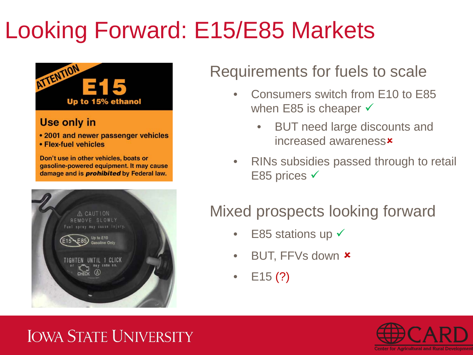

#### Use only in

- 2001 and newer passenger vehicles
- Flex-fuel vehicles

Don't use in other vehicles, boats or gasoline-powered equipment. It may cause damage and is *prohibited* by Federal law.



#### Requirements for fuels to scale

- Consumers switch from E10 to E85 when E85 is cheaper  $\checkmark$ 
	- BUT need large discounts and increased awareness
- RINs subsidies passed through to retail E85 prices √

### Mixed prospects looking forward

- E85 stations up  $\checkmark$
- BUT, FFVs down  $\star$
- $E15(?)$

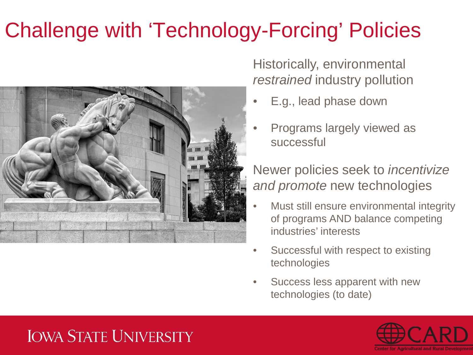### Challenge with 'Technology-Forcing' Policies



Historically, environmental *restrained* industry pollution

- E.g., lead phase down
- Programs largely viewed as successful

Newer policies seek to *incentivize and promote* new technologies

- Must still ensure environmental integrity of programs AND balance competing industries' interests
- Successful with respect to existing technologies
- Success less apparent with new technologies (to date)